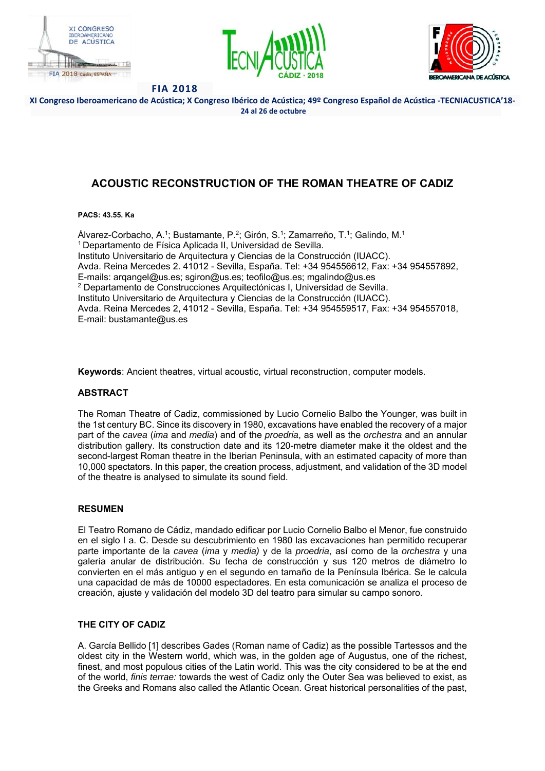





**XI Congreso Iberoamericano de Acústica; X Congreso Ibérico de Acústica; 49º Congreso Español de Acústica ‐TECNIACUSTICA'18‐ 24 al 26 de octubre** 

# **ACOUSTIC RECONSTRUCTION OF THE ROMAN THEATRE OF CADIZ**

### **PACS: 43.55. Ka**

Álvarez-Corbacho, A.1; Bustamante, P.2; Girón, S.1; Zamarreño, T.1; Galindo, M.1 1 Departamento de Física Aplicada II, Universidad de Sevilla. Instituto Universitario de Arquitectura y Ciencias de la Construcción (IUACC). Avda. Reina Mercedes 2. 41012 - Sevilla, España. Tel: +34 954556612, Fax: +34 954557892, E-mails: arqangel@us.es; sgiron@us.es; teofilo@us.es; mgalindo@us.es 2 Departamento de Construcciones Arquitectónicas I, Universidad de Sevilla. Instituto Universitario de Arquitectura y Ciencias de la Construcción (IUACC). Avda. Reina Mercedes 2, 41012 - Sevilla, España. Tel: +34 954559517, Fax: +34 954557018, E-mail: bustamante@us.es

**Keywords**: Ancient theatres, virtual acoustic, virtual reconstruction, computer models.

## **ABSTRACT**

The Roman Theatre of Cadiz, commissioned by Lucio Cornelio Balbo the Younger, was built in the 1st century BC. Since its discovery in 1980, excavations have enabled the recovery of a major part of the *cavea* (*ima* and *media*) and of the *proedria*, as well as the *orchestra* and an annular distribution gallery. Its construction date and its 120-metre diameter make it the oldest and the second-largest Roman theatre in the Iberian Peninsula, with an estimated capacity of more than 10,000 spectators. In this paper, the creation process, adjustment, and validation of the 3D model of the theatre is analysed to simulate its sound field.

## **RESUMEN**

El Teatro Romano de Cádiz, mandado edificar por Lucio Cornelio Balbo el Menor, fue construido en el siglo I a. C. Desde su descubrimiento en 1980 las excavaciones han permitido recuperar parte importante de la *cavea* (*ima* y *media)* y de la *proedria*, así como de la *orchestra* y una galería anular de distribución. Su fecha de construcción y sus 120 metros de diámetro lo convierten en el más antiguo y en el segundo en tamaño de la Península Ibérica. Se le calcula una capacidad de más de 10000 espectadores. En esta comunicación se analiza el proceso de creación, ajuste y validación del modelo 3D del teatro para simular su campo sonoro.

## **THE CITY OF CADIZ**

A. García Bellido [1] describes Gades (Roman name of Cadiz) as the possible Tartessos and the oldest city in the Western world, which was, in the golden age of Augustus, one of the richest, finest, and most populous cities of the Latin world. This was the city considered to be at the end of the world, *finis terrae:* towards the west of Cadiz only the Outer Sea was believed to exist, as the Greeks and Romans also called the Atlantic Ocean. Great historical personalities of the past,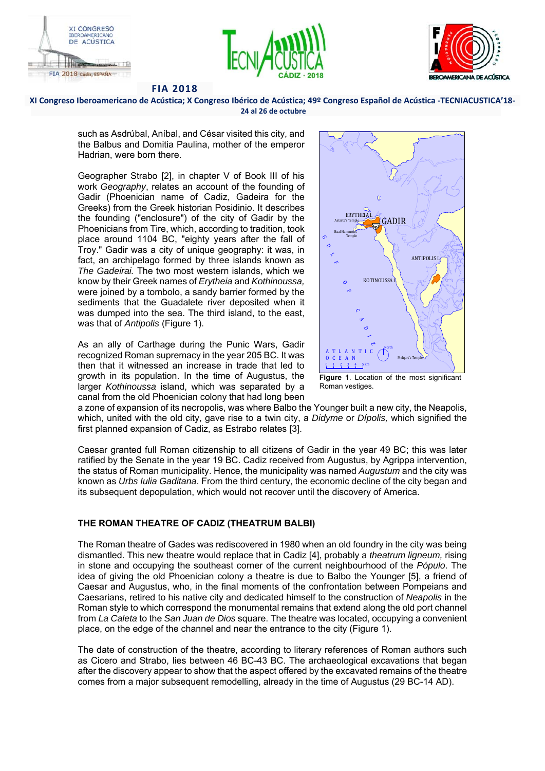





**XI Congreso Iberoamericano de Acústica; X Congreso Ibérico de Acústica; 49º Congreso Español de Acústica ‐TECNIACUSTICA'18‐ 24 al 26 de octubre** 

such as Asdrúbal, Aníbal, and César visited this city, and the Balbus and Domitia Paulina, mother of the emperor Hadrian, were born there.

Geographer Strabo [2], in chapter V of Book III of his work *Geography*, relates an account of the founding of Gadir (Phoenician name of Cadiz, Gadeira for the Greeks) from the Greek historian Posidinio. It describes the founding ("enclosure") of the city of Gadir by the Phoenicians from Tire, which, according to tradition, took place around 1104 BC, "eighty years after the fall of Troy." Gadir was a city of unique geography: it was, in fact, an archipelago formed by three islands known as *The Gadeirai.* The two most western islands, which we know by their Greek names of *Erytheia* and *Kothinoussa,* were joined by a tombolo, a sandy barrier formed by the sediments that the Guadalete river deposited when it was dumped into the sea. The third island, to the east, was that of *Antipolis* (Figure 1).

As an ally of Carthage during the Punic Wars, Gadir recognized Roman supremacy in the year 205 BC. It was then that it witnessed an increase in trade that led to growth in its population. In the time of Augustus, the larger *Kothinoussa* island, which was separated by a canal from the old Phoenician colony that had long been



**Figure 1**. Location of the most significant Roman vestiges.

a zone of expansion of its necropolis, was where Balbo the Younger built a new city, the Neapolis, which, united with the old city, gave rise to a twin city, a *Didyme* or *Dípolis,* which signified the first planned expansion of Cadiz, as Estrabo relates [3].

Caesar granted full Roman citizenship to all citizens of Gadir in the year 49 BC; this was later ratified by the Senate in the year 19 BC. Cadiz received from Augustus, by Agrippa intervention, the status of Roman municipality. Hence, the municipality was named *Augustum* and the city was known as *Urbs Iulia Gaditana*. From the third century, the economic decline of the city began and its subsequent depopulation, which would not recover until the discovery of America.

## **THE ROMAN THEATRE OF CADIZ (THEATRUM BALBI)**

The Roman theatre of Gades was rediscovered in 1980 when an old foundry in the city was being dismantled. This new theatre would replace that in Cadiz [4], probably a *theatrum ligneum,* rising in stone and occupying the southeast corner of the current neighbourhood of the *Pópulo*. The idea of giving the old Phoenician colony a theatre is due to Balbo the Younger [5], a friend of Caesar and Augustus, who, in the final moments of the confrontation between Pompeians and Caesarians, retired to his native city and dedicated himself to the construction of *Neapolis* in the Roman style to which correspond the monumental remains that extend along the old port channel from *La Caleta* to the *San Juan de Dios* square. The theatre was located, occupying a convenient place, on the edge of the channel and near the entrance to the city (Figure 1).

The date of construction of the theatre, according to literary references of Roman authors such as Cicero and Strabo, lies between 46 BC-43 BC. The archaeological excavations that began after the discovery appear to show that the aspect offered by the excavated remains of the theatre comes from a major subsequent remodelling, already in the time of Augustus (29 BC-14 AD).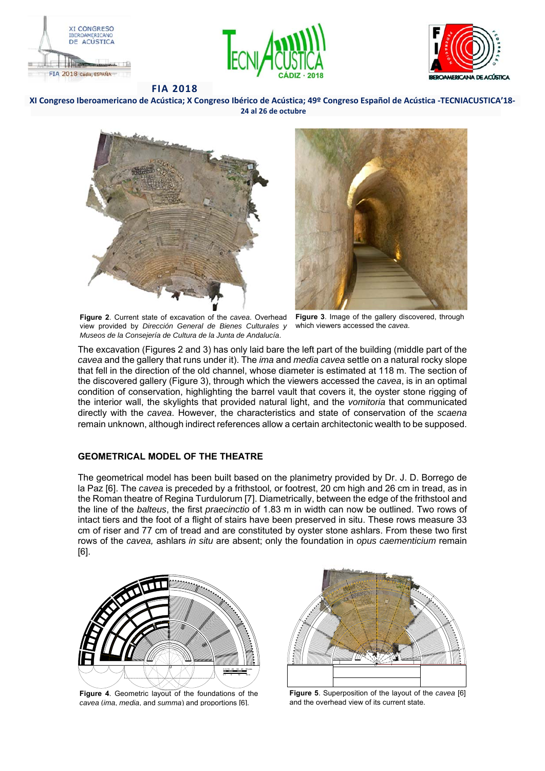





**XI Congreso Iberoamericano de Acústica; X Congreso Ibérico de Acústica; 49º Congreso Español de Acústica ‐TECNIACUSTICA'18‐ 24 al 26 de octubre** 



**Figure 2**. Current state of excavation of the *cavea*. Overhead **Figure 3**. Image of the gallery discovered, through view provided by *Dirección General de Bienes Culturales y Museos de la Consejería de Cultura de la Junta de Andalucía*.



which viewers accessed the *cavea*.

The excavation (Figures 2 and 3) has only laid bare the left part of the building (middle part of the *cavea* and the gallery that runs under it). The *ima* and *media cavea* settle on a natural rocky slope that fell in the direction of the old channel, whose diameter is estimated at 118 m. The section of the discovered gallery (Figure 3), through which the viewers accessed the *cavea*, is in an optimal condition of conservation, highlighting the barrel vault that covers it, the oyster stone rigging of the interior wall, the skylights that provided natural light, and the *vomitoria* that communicated directly with the *cavea*. However, the characteristics and state of conservation of the *scaena* remain unknown, although indirect references allow a certain architectonic wealth to be supposed.

### **GEOMETRICAL MODEL OF THE THEATRE**

The geometrical model has been built based on the planimetry provided by Dr. J. D. Borrego de la Paz [6]. The *cavea* is preceded by a frithstool*,* or footrest, 20 cm high and 26 cm in tread, as in the Roman theatre of Regina Turdulorum [7]. Diametrically, between the edge of the frithstool and the line of the *balteus*, the first *praecinctio* of 1.83 m in width can now be outlined. Two rows of intact tiers and the foot of a flight of stairs have been preserved in situ. These rows measure 33 cm of riser and 77 cm of tread and are constituted by oyster stone ashlars. From these two first rows of the *cavea,* ashlars *in situ* are absent; only the foundation in *opus caementicium* remain [6].



**Figure 4**. Geometric layout of the foundations of the *cavea* (*ima*, *media*, and *summa*) and proportions [6].



**Figure 5**. Superposition of the layout of the *cavea* [6] and the overhead view of its current state.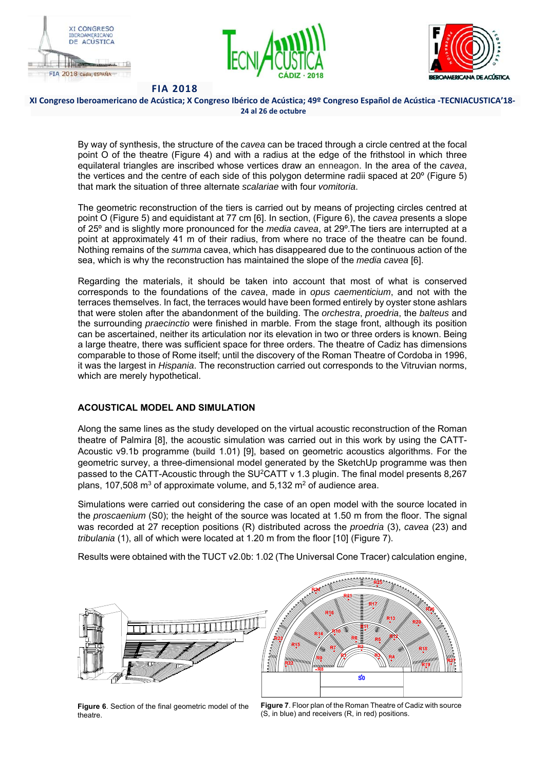





#### **XI Congreso Iberoamericano de Acústica; X Congreso Ibérico de Acústica; 49º Congreso Español de Acústica ‐TECNIACUSTICA'18‐ 24 al 26 de octubre**

By way of synthesis, the structure of the *cavea* can be traced through a circle centred at the focal point O of the theatre (Figure 4) and with a radius at the edge of the frithstool in which three equilateral triangles are inscribed whose vertices draw an enneagon. In the area of the *cavea*, the vertices and the centre of each side of this polygon determine radii spaced at 20º (Figure 5) that mark the situation of three alternate *scalariae* with four *vomitoria*.

The geometric reconstruction of the tiers is carried out by means of projecting circles centred at point O (Figure 5) and equidistant at 77 cm [6]. In section, (Figure 6), the *cavea* presents a slope of 25º and is slightly more pronounced for the *media cavea*, at 29º.The tiers are interrupted at a point at approximately 41 m of their radius, from where no trace of the theatre can be found. Nothing remains of the *summa* cavea, which has disappeared due to the continuous action of the sea, which is why the reconstruction has maintained the slope of the *media cavea* [6].

Regarding the materials, it should be taken into account that most of what is conserved corresponds to the foundations of the *cavea*, made in *opus caementicium*, and not with the terraces themselves. In fact, the terraces would have been formed entirely by oyster stone ashlars that were stolen after the abandonment of the building. The *orchestra*, *proedria*, the *balteus* and the surrounding *praecinctio* were finished in marble. From the stage front, although its position can be ascertained, neither its articulation nor its elevation in two or three orders is known. Being a large theatre, there was sufficient space for three orders. The theatre of Cadiz has dimensions comparable to those of Rome itself; until the discovery of the Roman Theatre of Cordoba in 1996, it was the largest in *Hispania*. The reconstruction carried out corresponds to the Vitruvian norms, which are merely hypothetical.

## **ACOUSTICAL MODEL AND SIMULATION**

Along the same lines as the study developed on the virtual acoustic reconstruction of the Roman theatre of Palmira [8], the acoustic simulation was carried out in this work by using the CATT-Acoustic v9.1b programme (build 1.01) [9], based on geometric acoustics algorithms. For the geometric survey, a three-dimensional model generated by the SketchUp programme was then passed to the CATT-Acoustic through the SU<sup>2</sup>CATT v 1.3 plugin. The final model presents 8,267 plans, 107,508  $m^3$  of approximate volume, and 5,132  $m^2$  of audience area.

Simulations were carried out considering the case of an open model with the source located in the *proscaenium* (S0); the height of the source was located at 1.50 m from the floor. The signal was recorded at 27 reception positions (R) distributed across the *proedria* (3), *cavea* (23) and *tribulania* (1), all of which were located at 1.20 m from the floor [10] (Figure 7).

Results were obtained with the TUCT v2.0b: 1.02 (The Universal Cone Tracer) calculation engine,



**Figure 6**. Section of the final geometric model of the theatre.

**Figure 7**. Floor plan of the Roman Theatre of Cadiz with source (S, in blue) and receivers (R, in red) positions.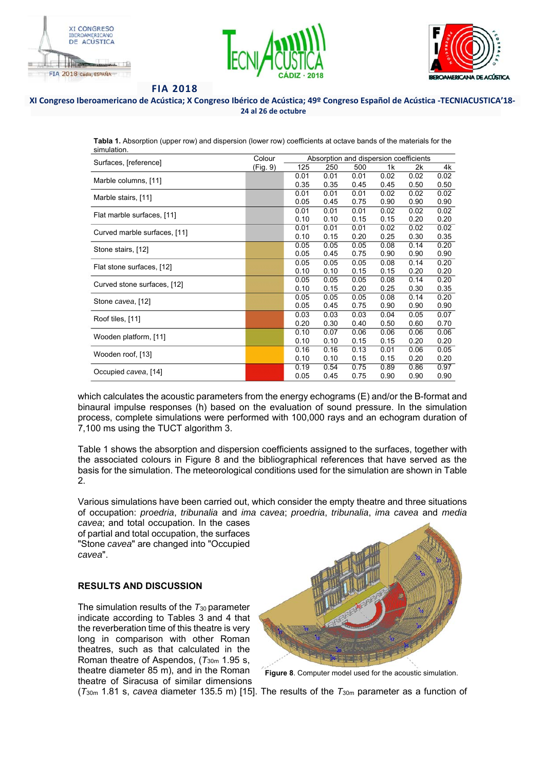





#### **XI Congreso Iberoamericano de Acústica; X Congreso Ibérico de Acústica; 49º Congreso Español de Acústica ‐TECNIACUSTICA'18‐ 24 al 26 de octubre**

**Tabla 1.** Absorption (upper row) and dispersion (lower row) coefficients at octave bands of the materials for the simulation.

| Surfaces, [reference]        | Colour   | Absorption and dispersion coefficients |      |      |      |      |      |
|------------------------------|----------|----------------------------------------|------|------|------|------|------|
|                              | (Fig. 9) | 125                                    | 250  | 500  | 1k   | 2k   | 4k   |
| Marble columns, [11]         |          | 0.01                                   | 0.01 | 0.01 | 0.02 | 0.02 | 0.02 |
|                              |          | 0.35                                   | 0.35 | 0.45 | 0.45 | 0.50 | 0.50 |
| Marble stairs, [11]          |          | 0.01                                   | 0.01 | 0.01 | 0.02 | 0.02 | 0.02 |
|                              |          | 0.05                                   | 0.45 | 0.75 | 0.90 | 0.90 | 0.90 |
| Flat marble surfaces, [11]   |          | 0.01                                   | 0.01 | 0.01 | 0.02 | 0.02 | 0.02 |
|                              |          | 0.10                                   | 0.10 | 0.15 | 0.15 | 0.20 | 0.20 |
| Curved marble surfaces, [11] |          | 0.01                                   | 0.01 | 0.01 | 0.02 | 0.02 | 0.02 |
|                              |          | 0.10                                   | 0.15 | 0.20 | 0.25 | 0.30 | 0.35 |
| Stone stairs, [12]           |          | 0.05                                   | 0.05 | 0.05 | 0.08 | 0.14 | 0.20 |
|                              |          | 0.05                                   | 0.45 | 0.75 | 0.90 | 0.90 | 0.90 |
| Flat stone surfaces, [12]    |          | 0.05                                   | 0.05 | 0.05 | 0.08 | 0.14 | 0.20 |
|                              |          | 0.10                                   | 0.10 | 0.15 | 0.15 | 0.20 | 0.20 |
| Curved stone surfaces, [12]  |          | 0.05                                   | 0.05 | 0.05 | 0.08 | 0.14 | 0.20 |
|                              |          | 0.10                                   | 0.15 | 0.20 | 0.25 | 0.30 | 0.35 |
| Stone cavea, [12]            |          | 0.05                                   | 0.05 | 0.05 | 0.08 | 0.14 | 0.20 |
|                              |          | 0.05                                   | 0.45 | 0.75 | 0.90 | 0.90 | 0.90 |
| Roof tiles, [11]             |          | 0.03                                   | 0.03 | 0.03 | 0.04 | 0.05 | 0.07 |
|                              |          | 0.20                                   | 0.30 | 0.40 | 0.50 | 0.60 | 0.70 |
| Wooden platform, [11]        |          | 0.10                                   | 0.07 | 0.06 | 0.06 | 0.06 | 0.06 |
|                              |          | 0.10                                   | 0.10 | 0.15 | 0.15 | 0.20 | 0.20 |
| Wooden roof, [13]            |          | 0.16                                   | 0.16 | 0.13 | 0.01 | 0.06 | 0.05 |
|                              |          | 0.10                                   | 0.10 | 0.15 | 0.15 | 0.20 | 0.20 |
| Occupied cavea, [14]         |          | 0.19                                   | 0.54 | 0.75 | 0.89 | 0.86 | 0.97 |
|                              |          | 0.05                                   | 0.45 | 0.75 | 0.90 | 0.90 | 0.90 |

which calculates the acoustic parameters from the energy echograms (E) and/or the B-format and binaural impulse responses (h) based on the evaluation of sound pressure. In the simulation process, complete simulations were performed with 100,000 rays and an echogram duration of 7,100 ms using the TUCT algorithm 3.

Table 1 shows the absorption and dispersion coefficients assigned to the surfaces, together with the associated colours in Figure 8 and the bibliographical references that have served as the basis for the simulation. The meteorological conditions used for the simulation are shown in Table 2.

Various simulations have been carried out, which consider the empty theatre and three situations of occupation: *proedria*, *tribunalia* and *ima cavea*; *proedria*, *tribunalia*, *ima cavea* and *media* 

*cavea*; and total occupation. In the cases of partial and total occupation, the surfaces "Stone *cavea*" are changed into "Occupied *cavea*".

## **RESULTS AND DISCUSSION**

The simulation results of the  $T_{30}$  parameter indicate according to Tables 3 and 4 that the reverberation time of this theatre is very long in comparison with other Roman theatres, such as that calculated in the Roman theatre of Aspendos, (*T*30m 1.95 s, theatre diameter 85 m), and in the Roman theatre of Siracusa of similar dimensions



**Figure 8**. Computer model used for the acoustic simulation.

(*T*30m 1.81 s, *cavea* diameter 135.5 m) [15]. The results of the *T*30m parameter as a function of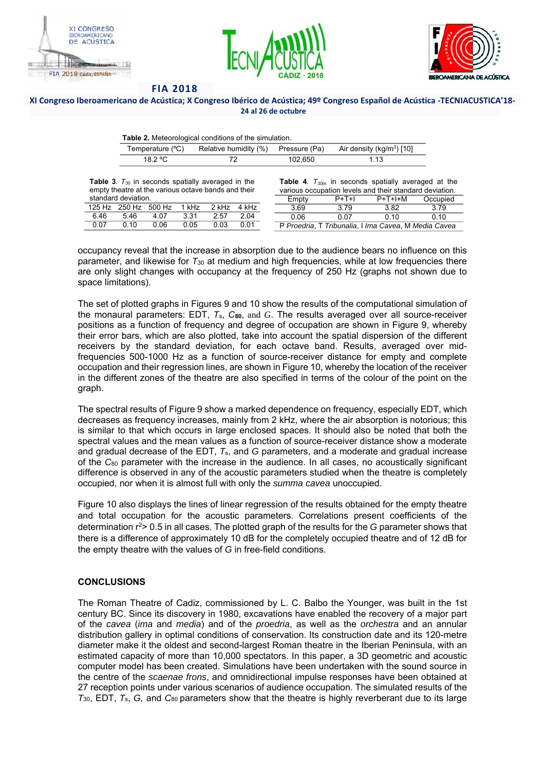





#### **XI Congreso Iberoamericano de Acústica; X Congreso Ibérico de Acústica; 49º Congreso Español de Acústica ‐TECNIACUSTICA'18‐ 24 al 26 de octubre**

| <b>Table 2.</b> Meteorological conditions of the simulation. |  |  |
|--------------------------------------------------------------|--|--|

|         |         | Temperature (°C) Relative humidity (%) Pressure (Pa) Air density (kg/m <sup>3</sup> ) [10] |
|---------|---------|--------------------------------------------------------------------------------------------|
| 18.2 °C | 102.650 | 1 13                                                                                       |

**Table 3**.  $T_{30}$  in seconds spatially averaged in the empty theatre at the various octave bands and their standard deviation.

|      |      | 125 Hz 250 Hz 500 Hz | 1 kHz | 2 kHz | 4 kHz |
|------|------|----------------------|-------|-------|-------|
| 6 46 | 546  | 4 N 7                | 3.31  | 2.57  | 2 Q4  |
| በ በ7 | በ 1በ | 0 QR                 | 0 0.5 | 0.03  | በ በ1  |

|                                                         |         | <b>Table 4.</b> $T_{30m}$ in seconds spatially averaged at the |          |  |  |
|---------------------------------------------------------|---------|----------------------------------------------------------------|----------|--|--|
| various occupation levels and their standard deviation. |         |                                                                |          |  |  |
| Empty                                                   | $P+T+I$ | $P+T+H+M$                                                      | Occupied |  |  |
| 3.69                                                    | 3.79    | 3.82                                                           | 3 7 9    |  |  |
| 0.06                                                    | 0.07    | 0.10                                                           | 0.10     |  |  |
| P Proedria, T Tribunalia, I Ima Cavea, M Media Cavea    |         |                                                                |          |  |  |

occupancy reveal that the increase in absorption due to the audience bears no influence on this parameter, and likewise for *T*30 at medium and high frequencies, while at low frequencies there are only slight changes with occupancy at the frequency of 250 Hz (graphs not shown due to space limitations).

The set of plotted graphs in Figures 9 and 10 show the results of the computational simulation of the monaural parameters: EDT, *T*s, *C***80**, and *G*. The results averaged over all source-receiver positions as a function of frequency and degree of occupation are shown in Figure 9, whereby their error bars, which are also plotted, take into account the spatial dispersion of the different receivers by the standard deviation, for each octave band. Results, averaged over midfrequencies 500-1000 Hz as a function of source-receiver distance for empty and complete occupation and their regression lines, are shown in Figure 10, whereby the location of the receiver in the different zones of the theatre are also specified in terms of the colour of the point on the graph.

The spectral results of Figure 9 show a marked dependence on frequency, especially EDT, which decreases as frequency increases, mainly from 2 kHz, where the air absorption is notorious; this is similar to that which occurs in large enclosed spaces. It should also be noted that both the spectral values and the mean values as a function of source-receiver distance show a moderate and gradual decrease of the EDT, *T*s, and *G* parameters, and a moderate and gradual increase of the *C*80 parameter with the increase in the audience. In all cases, no acoustically significant difference is observed in any of the acoustic parameters studied when the theatre is completely occupied, nor when it is almost full with only the *summa cavea* unoccupied.

Figure 10 also displays the lines of linear regression of the results obtained for the empty theatre and total occupation for the acoustic parameters. Correlations present coefficients of the determination r<sup>2</sup>> 0.5 in all cases. The plotted graph of the results for the *G* parameter shows that there is a difference of approximately 10 dB for the completely occupied theatre and of 12 dB for the empty theatre with the values of *G* in free-field conditions.

### **CONCLUSIONS**

The Roman Theatre of Cadiz, commissioned by L. C. Balbo the Younger, was built in the 1st century BC. Since its discovery in 1980, excavations have enabled the recovery of a major part of the *cavea* (*ima* and *media*) and of the *proedria*, as well as the *orchestra* and an annular distribution gallery in optimal conditions of conservation. Its construction date and its 120-metre diameter make it the oldest and second-largest Roman theatre in the Iberian Peninsula, with an estimated capacity of more than 10,000 spectators. In this paper, a 3D geometric and acoustic computer model has been created. Simulations have been undertaken with the sound source in the centre of the *scaenae frons*, and omnidirectional impulse responses have been obtained at 27 reception points under various scenarios of audience occupation. The simulated results of the *T*30, EDT, *T*s, *G,* and *C*80 parameters show that the theatre is highly reverberant due to its large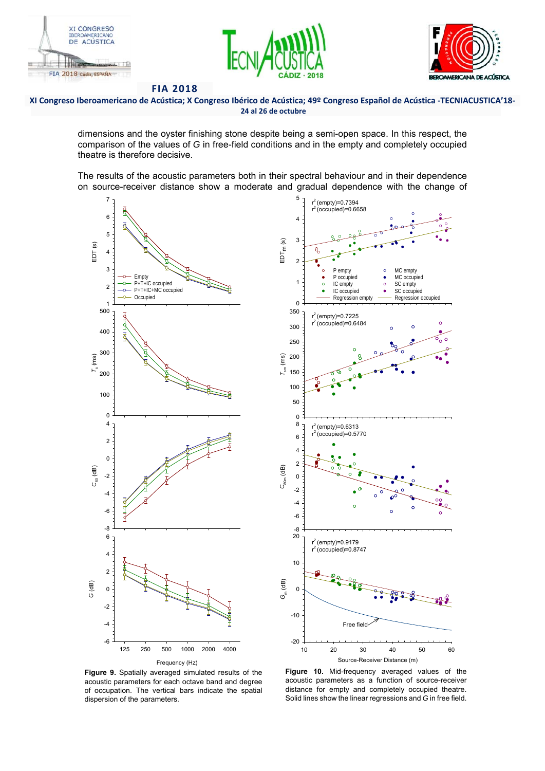





**XI Congreso Iberoamericano de Acústica; X Congreso Ibérico de Acústica; 49º Congreso Español de Acústica ‐TECNIACUSTICA'18‐ 24 al 26 de octubre** 

dimensions and the oyster finishing stone despite being a semi-open space. In this respect, the comparison of the values of *G* in free-field conditions and in the empty and completely occupied theatre is therefore decisive.

The results of the acoustic parameters both in their spectral behaviour and in their dependence on source-receiver distance show a moderate and gradual dependence with the change of





**Figure 9.** Spatially averaged simulated results of the acoustic parameters for each octave band and degree of occupation. The vertical bars indicate the spatial

**Figure 10.** Mid-frequency averaged values of the acoustic parameters as a function of source-receiver distance for empty and completely occupied theatre. Solid lines show the linear regressions and *G* in free field.